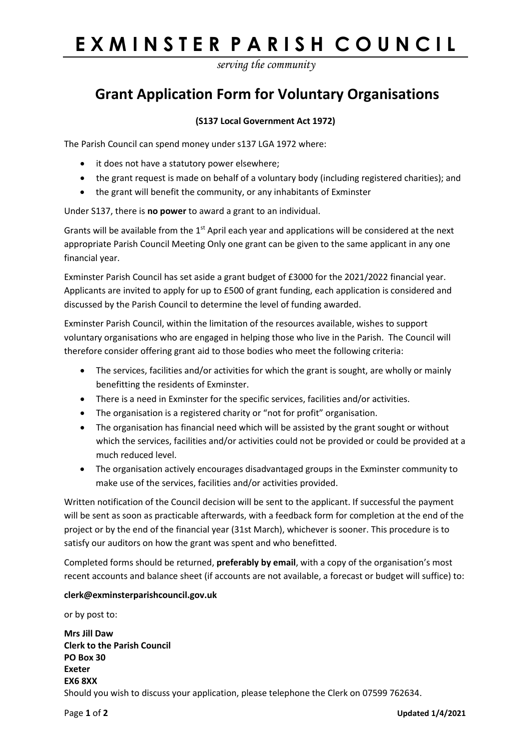# **EXMINSTER PARISH COUNCIL**

*serving the community*

### **Grant Application Form for Voluntary Organisations**

### **(S137 Local Government Act 1972)**

The Parish Council can spend money under s137 LGA 1972 where:

- it does not have a statutory power elsewhere;
- the grant request is made on behalf of a voluntary body (including registered charities); and
- the grant will benefit the community, or any inhabitants of Exminster

Under S137, there is **no power** to award a grant to an individual.

Grants will be available from the  $1<sup>st</sup>$  April each year and applications will be considered at the next appropriate Parish Council Meeting Only one grant can be given to the same applicant in any one financial year.

Exminster Parish Council has set aside a grant budget of £3000 for the 2021/2022 financial year. Applicants are invited to apply for up to £500 of grant funding, each application is considered and discussed by the Parish Council to determine the level of funding awarded.

Exminster Parish Council, within the limitation of the resources available, wishes to support voluntary organisations who are engaged in helping those who live in the Parish. The Council will therefore consider offering grant aid to those bodies who meet the following criteria:

- The services, facilities and/or activities for which the grant is sought, are wholly or mainly benefitting the residents of Exminster.
- There is a need in Exminster for the specific services, facilities and/or activities.
- The organisation is a registered charity or "not for profit" organisation.
- The organisation has financial need which will be assisted by the grant sought or without which the services, facilities and/or activities could not be provided or could be provided at a much reduced level.
- The organisation actively encourages disadvantaged groups in the Exminster community to make use of the services, facilities and/or activities provided.

Written notification of the Council decision will be sent to the applicant. If successful the payment will be sent as soon as practicable afterwards, with a feedback form for completion at the end of the project or by the end of the financial year (31st March), whichever is sooner. This procedure is to satisfy our auditors on how the grant was spent and who benefitted.

Completed forms should be returned, **preferably by email**, with a copy of the organisation's most recent accounts and balance sheet (if accounts are not available, a forecast or budget will suffice) to:

#### **clerk@exminsterparishcouncil.gov.uk**

or by post to:

**Mrs Jill Daw Clerk to the Parish Council PO Box 30 Exeter EX6 8XX** Should you wish to discuss your application, please telephone the Clerk on 07599 762634.